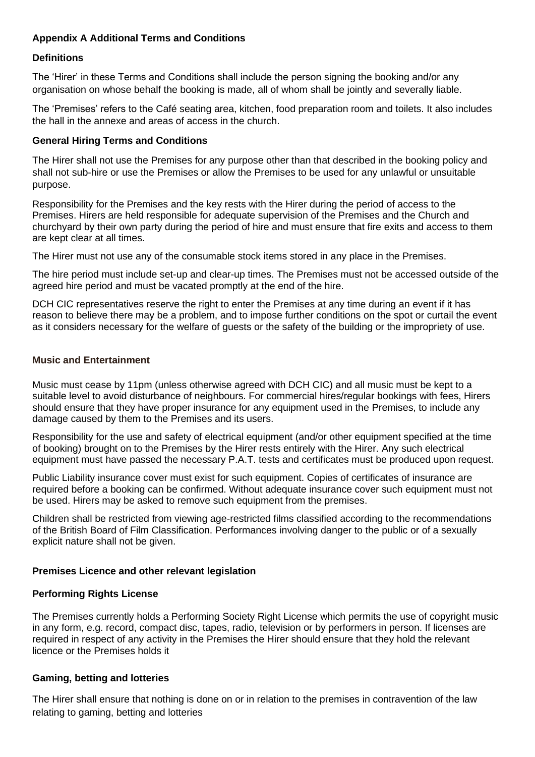# **Appendix A Additional Terms and Conditions**

## **Definitions**

The 'Hirer' in these Terms and Conditions shall include the person signing the booking and/or any organisation on whose behalf the booking is made, all of whom shall be jointly and severally liable.

The 'Premises' refers to the Café seating area, kitchen, food preparation room and toilets. It also includes the hall in the annexe and areas of access in the church.

#### **General Hiring Terms and Conditions**

The Hirer shall not use the Premises for any purpose other than that described in the booking policy and shall not sub-hire or use the Premises or allow the Premises to be used for any unlawful or unsuitable purpose.

Responsibility for the Premises and the key rests with the Hirer during the period of access to the Premises. Hirers are held responsible for adequate supervision of the Premises and the Church and churchyard by their own party during the period of hire and must ensure that fire exits and access to them are kept clear at all times.

The Hirer must not use any of the consumable stock items stored in any place in the Premises.

The hire period must include set-up and clear-up times. The Premises must not be accessed outside of the agreed hire period and must be vacated promptly at the end of the hire.

DCH CIC representatives reserve the right to enter the Premises at any time during an event if it has reason to believe there may be a problem, and to impose further conditions on the spot or curtail the event as it considers necessary for the welfare of guests or the safety of the building or the impropriety of use.

#### **Music and Entertainment**

Music must cease by 11pm (unless otherwise agreed with DCH CIC) and all music must be kept to a suitable level to avoid disturbance of neighbours. For commercial hires/regular bookings with fees, Hirers should ensure that they have proper insurance for any equipment used in the Premises, to include any damage caused by them to the Premises and its users.

Responsibility for the use and safety of electrical equipment (and/or other equipment specified at the time of booking) brought on to the Premises by the Hirer rests entirely with the Hirer. Any such electrical equipment must have passed the necessary P.A.T. tests and certificates must be produced upon request.

Public Liability insurance cover must exist for such equipment. Copies of certificates of insurance are required before a booking can be confirmed. Without adequate insurance cover such equipment must not be used. Hirers may be asked to remove such equipment from the premises.

Children shall be restricted from viewing age-restricted films classified according to the recommendations of the British Board of Film Classification. Performances involving danger to the public or of a sexually explicit nature shall not be given.

# **Premises Licence and other relevant legislation**

#### **Performing Rights License**

The Premises currently holds a Performing Society Right License which permits the use of copyright music in any form, e.g. record, compact disc, tapes, radio, television or by performers in person. If licenses are required in respect of any activity in the Premises the Hirer should ensure that they hold the relevant licence or the Premises holds it

#### **Gaming, betting and lotteries**

The Hirer shall ensure that nothing is done on or in relation to the premises in contravention of the law relating to gaming, betting and lotteries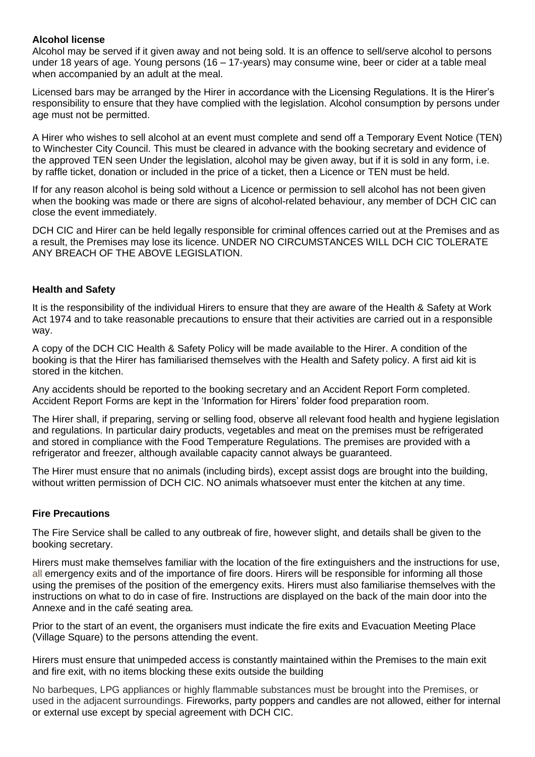### **Alcohol license**

Alcohol may be served if it given away and not being sold. It is an offence to sell/serve alcohol to persons under 18 years of age. Young persons (16 – 17-years) may consume wine, beer or cider at a table meal when accompanied by an adult at the meal.

Licensed bars may be arranged by the Hirer in accordance with the Licensing Regulations. It is the Hirer's responsibility to ensure that they have complied with the legislation. Alcohol consumption by persons under age must not be permitted.

A Hirer who wishes to sell alcohol at an event must complete and send off a Temporary Event Notice (TEN) to Winchester City Council. This must be cleared in advance with the booking secretary and evidence of the approved TEN seen Under the legislation, alcohol may be given away, but if it is sold in any form, i.e. by raffle ticket, donation or included in the price of a ticket, then a Licence or TEN must be held.

If for any reason alcohol is being sold without a Licence or permission to sell alcohol has not been given when the booking was made or there are signs of alcohol-related behaviour, any member of DCH CIC can close the event immediately.

DCH CIC and Hirer can be held legally responsible for criminal offences carried out at the Premises and as a result, the Premises may lose its licence. UNDER NO CIRCUMSTANCES WILL DCH CIC TOLERATE ANY BREACH OF THE ABOVE LEGISLATION.

#### **Health and Safety**

It is the responsibility of the individual Hirers to ensure that they are aware of the Health & Safety at Work Act 1974 and to take reasonable precautions to ensure that their activities are carried out in a responsible way.

A copy of the DCH CIC Health & Safety Policy will be made available to the Hirer. A condition of the booking is that the Hirer has familiarised themselves with the Health and Safety policy. A first aid kit is stored in the kitchen.

Any accidents should be reported to the booking secretary and an Accident Report Form completed. Accident Report Forms are kept in the 'Information for Hirers' folder food preparation room.

The Hirer shall, if preparing, serving or selling food, observe all relevant food health and hygiene legislation and regulations. In particular dairy products, vegetables and meat on the premises must be refrigerated and stored in compliance with the Food Temperature Regulations. The premises are provided with a refrigerator and freezer, although available capacity cannot always be guaranteed.

The Hirer must ensure that no animals (including birds), except assist dogs are brought into the building, without written permission of DCH CIC. NO animals whatsoever must enter the kitchen at any time.

#### **Fire Precautions**

The Fire Service shall be called to any outbreak of fire, however slight, and details shall be given to the booking secretary.

Hirers must make themselves familiar with the location of the fire extinguishers and the instructions for use, all emergency exits and of the importance of fire doors. Hirers will be responsible for informing all those using the premises of the position of the emergency exits. Hirers must also familiarise themselves with the instructions on what to do in case of fire. Instructions are displayed on the back of the main door into the Annexe and in the café seating area.

Prior to the start of an event, the organisers must indicate the fire exits and Evacuation Meeting Place (Village Square) to the persons attending the event.

Hirers must ensure that unimpeded access is constantly maintained within the Premises to the main exit and fire exit, with no items blocking these exits outside the building

No barbeques, LPG appliances or highly flammable substances must be brought into the Premises, or used in the adjacent surroundings. Fireworks, party poppers and candles are not allowed, either for internal or external use except by special agreement with DCH CIC.